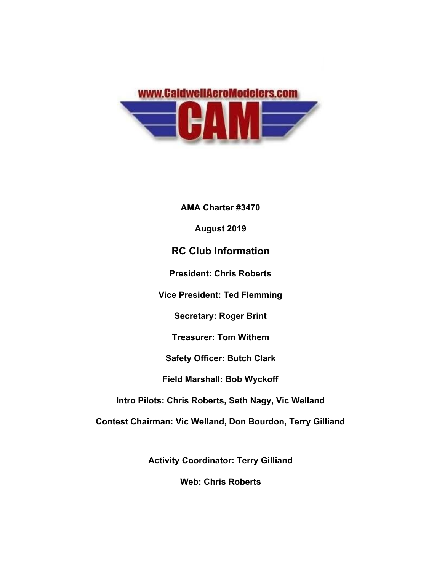

**AMA Charter #3470 August 2019 RC Club Information President: Chris Roberts Vice President: Ted Flemming Secretary: Roger Brint Treasurer: Tom Withem Safety Officer: Butch Clark Field Marshall: Bob Wyckoff Intro Pilots: Chris Roberts, Seth Nagy, Vic Welland Contest Chairman: Vic Welland, Don Bourdon, Terry Gilliand**

**Activity Coordinator: Terry Gilliand**

**Web: Chris Roberts**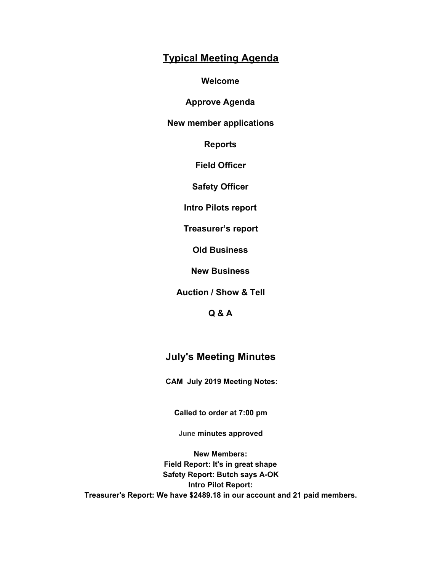## **Typical Meeting Agenda**

**Welcome**

**Approve Agenda**

**New member applications**

**Reports**

**Field Officer**

**Safety Officer**

**Intro Pilots report**

**Treasurer's report**

**Old Business**

**New Business**

**Auction / Show & Tell**

**Q & A**

## **July's Meeting Minutes**

**CAM July 2019 Meeting Notes:**

**Called to order at 7:00 pm**

**June minutes approved**

**New Members: Field Report: It's in great shape Safety Report: Butch says A-OK Intro Pilot Report: Treasurer's Report: We have \$2489.18 in our account and 21 paid members.**